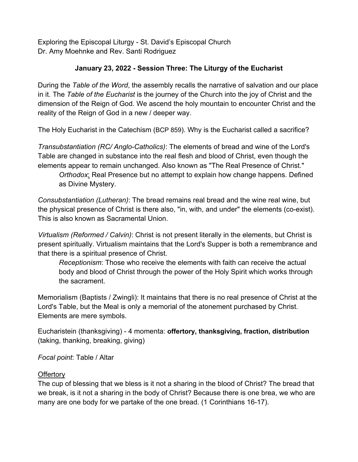Exploring the Episcopal Liturgy - St. David's Episcopal Church Dr. Amy Moehnke and Rev. Santi Rodriguez

## **January 23, 2022 - Session Three: The Liturgy of the Eucharist**

During the *Table of the Word*, the assembly recalls the narrative of salvation and our place in it. The *Table of the Eucharist* is the journey of the Church into the joy of Christ and the dimension of the Reign of God. We ascend the holy mountain to encounter Christ and the reality of the Reign of God in a new / deeper way.

The Holy Eucharist in the Catechism (BCP 859). Why is the Eucharist called a sacrifice?

*Transubstantiation (RC/ Anglo-Catholics)*: The elements of bread and wine of the Lord's Table are changed in substance into the real flesh and blood of Christ, even though the elements appear to remain unchanged. Also known as "The Real Presence of Christ." *Orthodox*: Real Presence but no attempt to explain how change happens. Defined

as Divine Mystery.

*Consubstantiation (Lutheran)*: The bread remains real bread and the wine real wine, but the physical presence of Christ is there also, "in, with, and under" the elements (co-exist). This is also known as Sacramental Union.

*Virtualism (Reformed / Calvin)*: Christ is not present literally in the elements, but Christ is present spiritually. Virtualism maintains that the Lord's Supper is both a remembrance and that there is a spiritual presence of Christ.

*Receptionism*: Those who receive the elements with faith can receive the actual body and blood of Christ through the power of the Holy Spirit which works through the sacrament.

Memorialism (Baptists / Zwingli): It maintains that there is no real presence of Christ at the Lord's Table, but the Meal is only a memorial of the atonement purchased by Christ. Elements are mere symbols.

Eucharistein (thanksgiving) - 4 momenta: **offertory, thanksgiving, fraction, distribution** (taking, thanking, breaking, giving)

*Focal point*: Table / Altar

## **Offertory**

The cup of blessing that we bless is it not a sharing in the blood of Christ? The bread that we break, is it not a sharing in the body of Christ? Because there is one brea, we who are many are one body for we partake of the one bread. (1 Corinthians 16-17).